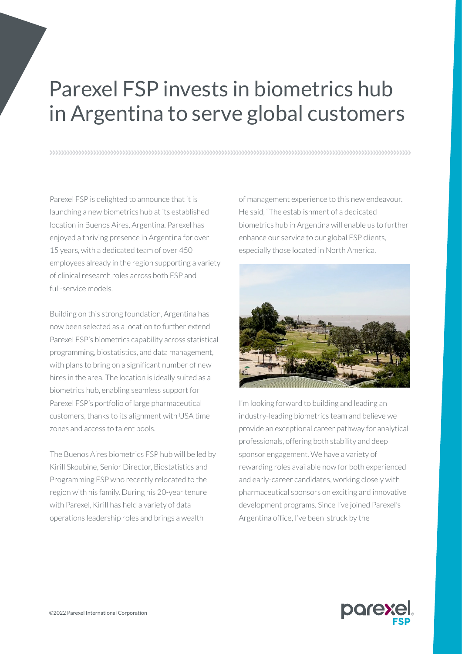## Parexel FSP invests in biometrics hub in Argentina to serve global customers

n and a community and a community and a community of the community and a community and a community of the commun

Parexel FSP is delighted to announce that it is launching a new biometrics hub at its established location in Buenos Aires, Argentina. Parexel has enjoyed a thriving presence in Argentina for over 15 years, with a dedicated team of over 450 employees already in the region supporting a variety of clinical research roles across both FSP and full-service models.

Building on this strong foundation, Argentina has now been selected as a location to further extend Parexel FSP's biometrics capability across statistical programming, biostatistics, and data management, with plans to bring on a significant number of new hires in the area. The location is ideally suited as a biometrics hub, enabling seamless support for Parexel FSP's portfolio of large pharmaceutical customers, thanks to its alignment with USA time zones and access to talent pools.

The Buenos Aires biometrics FSP hub will be led by Kirill Skoubine, Senior Director, Biostatistics and Programming FSP who recently relocated to the region with his family. During his 20-year tenure with Parexel, Kirill has held a variety of data operations leadership roles and brings a wealth

of management experience to this new endeavour. He said, "The establishment of a dedicated biometrics hub in Argentina will enable us to further enhance our service to our global FSP clients, especially those located in North America.



I'm looking forward to building and leading an industry-leading biometrics team and believe we provide an exceptional career pathway for analytical professionals, offering both stability and deep sponsor engagement. We have a variety of rewarding roles available now for both experienced and early-career candidates, working closely with pharmaceutical sponsors on exciting and innovative development programs. Since I've joined Parexel's Argentina office, I've been struck by the